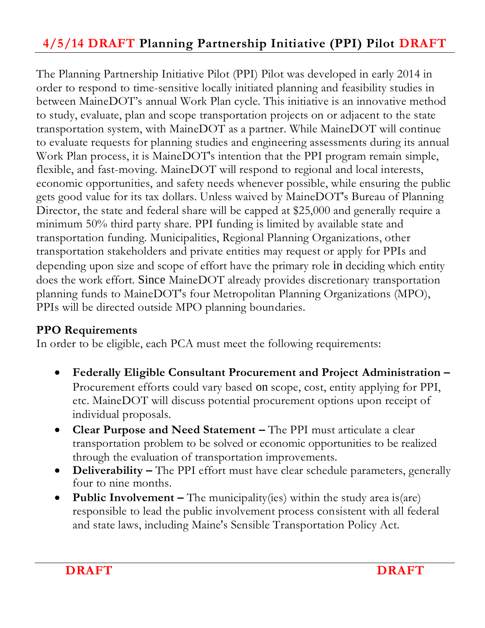# **4/5/14 DRAFT Planning Partnership Initiative (PPI) Pilot DRAFT**

The Planning Partnership Initiative Pilot (PPI) Pilot was developed in early 2014 in order to respond to time-sensitive locally initiated planning and feasibility studies in between MaineDOT's annual Work Plan cycle. This initiative is an innovative method to study, evaluate, plan and scope transportation projects on or adjacent to the state transportation system, with MaineDOT as a partner. While MaineDOT will continue to evaluate requests for planning studies and engineering assessments during its annual Work Plan process, it is MaineDOT's intention that the PPI program remain simple, flexible, and fast-moving. MaineDOT will respond to regional and local interests, economic opportunities, and safety needs whenever possible, while ensuring the public gets good value for its tax dollars. Unless waived by MaineDOT's Bureau of Planning Director, the state and federal share will be capped at \$25,000 and generally require a minimum 50% third party share. PPI funding is limited by available state and transportation funding. Municipalities, Regional Planning Organizations, other transportation stakeholders and private entities may request or apply for PPIs and depending upon size and scope of effort have the primary role in deciding which entity does the work effort. Since MaineDOT already provides discretionary transportation planning funds to MaineDOT's four Metropolitan Planning Organizations (MPO), PPIs will be directed outside MPO planning boundaries.

### **PPO Requirements**

In order to be eligible, each PCA must meet the following requirements:

- **Federally Eligible Consultant Procurement and Project Administration –** Procurement efforts could vary based on scope, cost, entity applying for PPI, etc. MaineDOT will discuss potential procurement options upon receipt of individual proposals.
- **Clear Purpose and Need Statement –** The PPI must articulate a clear transportation problem to be solved or economic opportunities to be realized through the evaluation of transportation improvements.
- **•** Deliverability The PPI effort must have clear schedule parameters, generally four to nine months.
- **Public Involvement –** The municipality(ies) within the study area is(are) responsible to lead the public involvement process consistent with all federal and state laws, including Maine's Sensible Transportation Policy Act.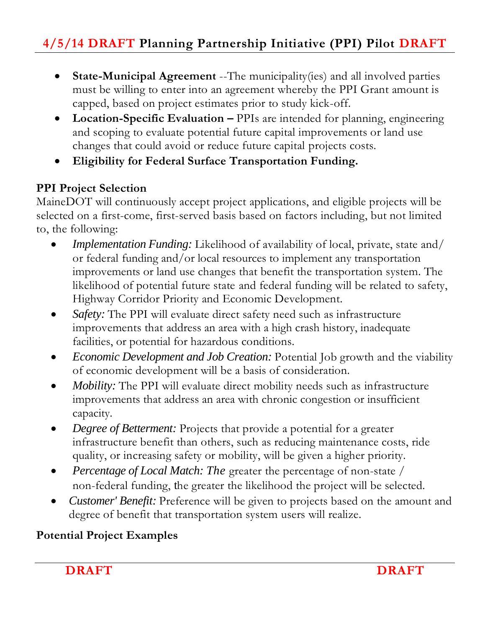- **State-Municipal Agreement** --The municipality(ies) and all involved parties must be willing to enter into an agreement whereby the PPI Grant amount is capped, based on project estimates prior to study kick-off.
- Location-Specific Evaluation PPIs are intended for planning, engineering and scoping to evaluate potential future capital improvements or land use changes that could avoid or reduce future capital projects costs.
- **Eligibility for Federal Surface Transportation Funding.**

## **PPI Project Selection**

MaineDOT will continuously accept project applications, and eligible projects will be selected on a first-come, first-served basis based on factors including, but not limited to, the following:

- *Implementation Funding:* Likelihood of availability of local, private, state and/ or federal funding and/or local resources to implement any transportation improvements or land use changes that benefit the transportation system. The likelihood of potential future state and federal funding will be related to safety, Highway Corridor Priority and Economic Development.
- *Safety:* The PPI will evaluate direct safety need such as infrastructure improvements that address an area with a high crash history, inadequate facilities, or potential for hazardous conditions.
- *Economic Development and Job Creation:* Potential Job growth and the viability of economic development will be a basis of consideration.
- *Mobility:* The PPI will evaluate direct mobility needs such as infrastructure improvements that address an area with chronic congestion or insufficient capacity.
- *Degree of Betterment:* Projects that provide a potential for a greater infrastructure benefit than others, such as reducing maintenance costs, ride quality, or increasing safety or mobility, will be given a higher priority.
- *Percentage of Local Match: The* greater the percentage of non-state / non-federal funding, the greater the likelihood the project will be selected.
- *Customer' Benefit:* Preference will be given to projects based on the amount and degree of benefit that transportation system users will realize.

### **Potential Project Examples**